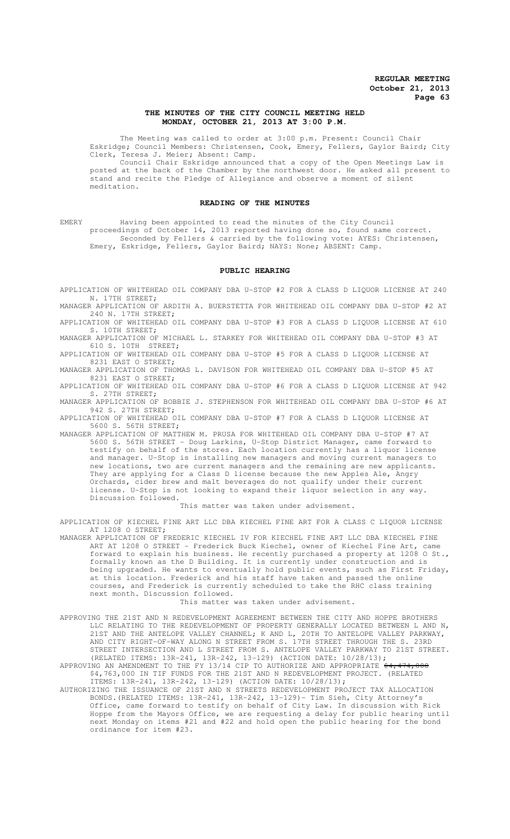# **THE MINUTES OF THE CITY COUNCIL MEETING HELD MONDAY, OCTOBER 21, 2013 AT 3:00 P.M.**

The Meeting was called to order at 3:00 p.m. Present: Council Chair Eskridge; Council Members: Christensen, Cook, Emery, Fellers, Gaylor Baird; City Clerk, Teresa J. Meier; Absent: Camp.

Council Chair Eskridge announced that a copy of the Open Meetings Law is posted at the back of the Chamber by the northwest door. He asked all present to stand and recite the Pledge of Allegiance and observe a moment of silent meditation.

#### **READING OF THE MINUTES**

EMERY Having been appointed to read the minutes of the City Council proceedings of October 14, 2013 reported having done so, found same correct. Seconded by Fellers & carried by the following vote: AYES: Christensen, Emery, Eskridge, Fellers, Gaylor Baird; NAYS: None; ABSENT: Camp.

### **PUBLIC HEARING**

APPLICATION OF WHITEHEAD OIL COMPANY DBA U-STOP #2 FOR A CLASS D LIQUOR LICENSE AT 240 N. 17TH STREET;

MANAGER APPLICATION OF ARDITH A. BUERSTETTA FOR WHITEHEAD OIL COMPANY DBA U-STOP #2 AT 240 N. 17TH STREET;

APPLICATION OF WHITEHEAD OIL COMPANY DBA U-STOP #3 FOR A CLASS D LIQUOR LICENSE AT 610 10TH STREET;

MANAGER APPLICATION OF MICHAEL L. STARKEY FOR WHITEHEAD OIL COMPANY DBA U-STOP #3 AT 610 S. 10TH STREET;

APPLICATION OF WHITEHEAD OIL COMPANY DBA U-STOP #5 FOR A CLASS D LIQUOR LICENSE AT 8231 EAST O STREET;

MANAGER APPLICATION OF THOMAS L. DAVISON FOR WHITEHEAD OIL COMPANY DBA U-STOP #5 AT 8231 EAST O STREET;

APPLICATION OF WHITEHEAD OIL COMPANY DBA U-STOP #6 FOR A CLASS D LIQUOR LICENSE AT 942 S. 27TH STREET;

MANAGER APPLICATION OF BOBBIE J. STEPHENSON FOR WHITEHEAD OIL COMPANY DBA U-STOP #6 AT 942 S. 27TH STREET;

APPLICATION OF WHITEHEAD OIL COMPANY DBA U-STOP #7 FOR A CLASS D LIQUOR LICENSE AT 5600 S. 56TH STREET;

MANAGER APPLICATION OF MATTHEW M. PRUSA FOR WHITEHEAD OIL COMPANY DBA U-STOP #7 AT 5600 S. 56TH STREET - Doug Larkins, U-Stop District Manager, came forward to testify on behalf of the stores. Each location currently has a liquor license and manager. U-Stop is installing new managers and moving current managers to new locations, two are current managers and the remaining are new applicants. They are applying for a Class D license because the new Apples Ale, Angry Orchards, cider brew and malt beverages do not qualify under their current license. U-Stop is not looking to expand their liquor selection in any way. Discussion followed.

This matter was taken under advisement.

APPLICATION OF KIECHEL FINE ART LLC DBA KIECHEL FINE ART FOR A CLASS C LIQUOR LICENSE AT 1208 O STREET;

MANAGER APPLICATION OF FREDERIC KIECHEL IV FOR KIECHEL FINE ART LLC DBA KIECHEL FINE ART AT 1208 O STREET - Frederick Buck Kiechel, owner of Kiechel Fine Art, came forward to explain his business. He recently purchased a property at 1208 O St., formally known as the D Building. It is currently under construction and is being upgraded. He wants to eventually hold public events, such as First Friday, at this location. Frederick and his staff have taken and passed the online courses, and Frederick is currently scheduled to take the RHC class training next month. Discussion followed.

This matter was taken under advisement.

APPROVING THE 21ST AND N REDEVELOPMENT AGREEMENT BETWEEN THE CITY AND HOPPE BROTHERS LLC RELATING TO THE REDEVELOPMENT OF PROPERTY GENERALLY LOCATED BETWEEN L AND N, 21ST AND THE ANTELOPE VALLEY CHANNEL; K AND L, 20TH TO ANTELOPE VALLEY PARKWAY, AND CITY RIGHT-OF-WAY ALONG N STREET FROM S. 17TH STREET THROUGH THE S. 23RD STREET INTERSECTION AND L STREET FROM S. ANTELOPE VALLEY PARKWAY TO 21ST STREET. (RELATED ITEMS: 13R-241, 13R-242, 13-129) (ACTION DATE: 10/28/13);

APPROVING AN AMENDMENT TO THE FY 13/14 CIP TO AUTHORIZE AND APPROPRIATE  $\frac{24}{7}474,000$ \$4,763,000 IN TIF FUNDS FOR THE 21ST AND N REDEVELOPMENT PROJECT. (RELATED ITEMS: 13R-241, 13R-242, 13-129) (ACTION DATE: 10/28/13);

AUTHORIZING THE ISSUANCE OF 21ST AND N STREETS REDEVELOPMENT PROJECT TAX ALLOCATION BONDS.(RELATED ITEMS: 13R-241, 13R-242, 13-129)- Tim Sieh, City Attorney's Office, came forward to testify on behalf of City Law. In discussion with Rick Hoppe from the Mayors Office, we are requesting a delay for public hearing until next Monday on items #21 and #22 and hold open the public hearing for the bond ordinance for item #23.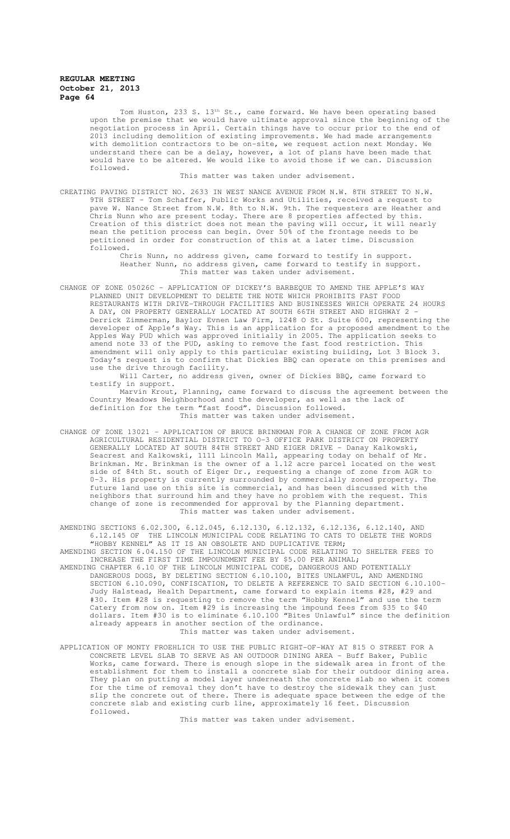Tom Huston, 233 S. 13<sup>th</sup> St., came forward. We have been operating based upon the premise that we would have ultimate approval since the beginning of the negotiation process in April. Certain things have to occur prior to the end of 2013 including demolition of existing improvements. We had made arrangements with demolition contractors to be on-site, we request action next Monday. We understand there can be a delay, however, a lot of plans have been made that would have to be altered. We would like to avoid those if we can. Discussion followed.

This matter was taken under advisement.

CREATING PAVING DISTRICT NO. 2633 IN WEST NANCE AVENUE FROM N.W. 8TH STREET TO N.W. 9TH STREET - Tom Schaffer, Public Works and Utilities, received a request to pave W. Nance Street from N.W. 8th to N.W. 9th. The requesters are Heather and Chris Nunn who are present today. There are 8 properties affected by this. Creation of this district does not mean the paving will occur, it will nearly mean the petition process can begin. Over 50% of the frontage needs to be petitioned in order for construction of this at a later time. Discussion followed.

> Chris Nunn, no address given, came forward to testify in support. Heather Nunn, no address given, came forward to testify in support. This matter was taken under advisement.

CHANGE OF ZONE 05026C – APPLICATION OF DICKEY'S BARBEQUE TO AMEND THE APPLE'S WAY PLANNED UNIT DEVELOPMENT TO DELETE THE NOTE WHICH PROHIBITS FAST FOOD RESTAURANTS WITH DRIVE-THROUGH FACILITIES AND BUSINESSES WHICH OPERATE 24 HOURS A DAY, ON PROPERTY GENERALLY LOCATED AT SOUTH 66TH STREET AND HIGHWAY 2 -Derrick Zimmerman, Baylor Evnen Law Firm, 1248 O St. Suite 600, representing the developer of Apple's Way. This is an application for a proposed amendment to the Apples Way PUD which was approved initially in 2005. The application seeks to amend note 33 of the PUD, asking to remove the fast food restriction. This amendment will only apply to this particular existing building, Lot 3 Block 3. Today's request is to confirm that Dickies BBQ can operate on this premises and use the drive through facility.

Will Carter, no address given, owner of Dickies BBQ, came forward to testify in support. Marvin Krout, Planning, came forward to discuss the agreement between the Country Meadows Neighborhood and the developer, as well as the lack of definition for the term "fast food". Discussion followed. This matter was taken under advisement.

CHANGE OF ZONE 13021 – APPLICATION OF BRUCE BRINKMAN FOR A CHANGE OF ZONE FROM AGR AGRICULTURAL RESIDENTIAL DISTRICT TO O-3 OFFICE PARK DISTRICT ON PROPERTY GENERALLY LOCATED AT SOUTH 84TH STREET AND EIGER DRIVE - Danay Kalkowski, Seacrest and Kalkowski, 1111 Lincoln Mall, appearing today on behalf of Mr. Brinkman. Mr. Brinkman is the owner of a 1.12 acre parcel located on the west side of 84th St. south of Eiger Dr., requesting a change of zone from AGR to 0-3. His property is currently surrounded by commercially zoned property. The future land use on this site is commercial, and has been discussed with the neighbors that surround him and they have no problem with the request. This change of zone is recommended for approval by the Planning department. This matter was taken under advisement.

AMENDING SECTIONS 6.02.300, 6.12.045, 6.12.130, 6.12.132, 6.12.136, 6.12.140, AND 6.12.145 OF THE LINCOLN MUNICIPAL CODE RELATING TO CATS TO DELETE THE WORDS "HOBBY KENNEL" AS IT IS AN OBSOLETE AND DUPLICATIVE TERM;

AMENDING SECTION 6.04.150 OF THE LINCOLN MUNICIPAL CODE RELATING TO SHELTER FEES TO INCREASE THE FIRST TIME IMPOUNDMENT FEE BY \$5.00 PER ANIMAL;

- AMENDING CHAPTER 6.10 OF THE LINCOLN MUNICIPAL CODE, DANGEROUS AND POTENTIALLY DANGEROUS DOGS, BY DELETING SECTION 6.10.100, BITES UNLAWFUL, AND AMENDING SECTION 6.10.090, CONFISCATION, TO DELETE A REFERENCE TO SAID SECTION 6.10.100- Judy Halstead, Health Department, came forward to explain items #28, #29 and #30. Item #28 is requesting to remove the term "Hobby Kennel" and use the term Catery from now on. Item #29 is increasing the impound fees from \$35 to \$40 dollars. Item #30 is to eliminate 6.10.100 "Bites Unlawful" since the definition already appears in another section of the ordinance. This matter was taken under advisement.
- APPLICATION OF MONTY FROEHLICH TO USE THE PUBLIC RIGHT-OF-WAY AT 815 O STREET FOR A CONCRETE LEVEL SLAB TO SERVE AS AN OUTDOOR DINING AREA - Buff Baker, Public Works, came forward. There is enough slope in the sidewalk area in front of the establishment for them to install a concrete slab for their outdoor dining area. They plan on putting a model layer underneath the concrete slab so when it comes for the time of removal they don't have to destroy the sidewalk they can just slip the concrete out of there. There is adequate space between the edge of the concrete slab and existing curb line, approximately 16 feet. Discussion followed.

This matter was taken under advisement.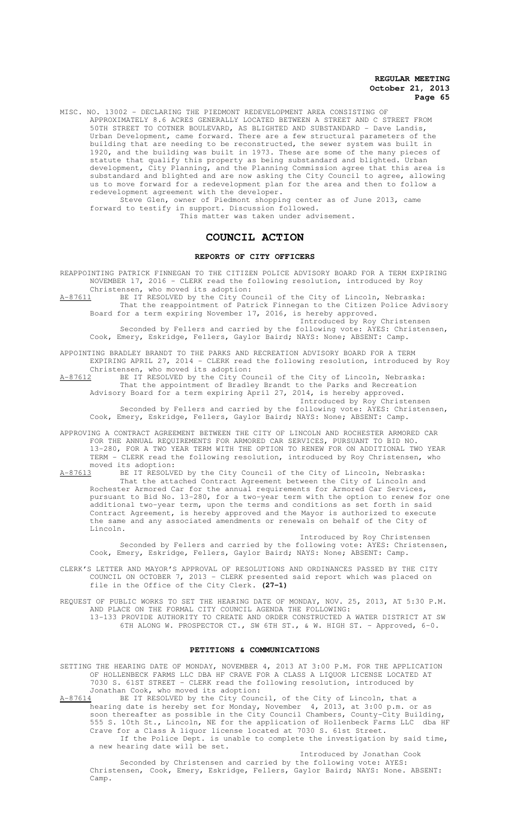MISC. NO. 13002 - DECLARING THE PIEDMONT REDEVELOPMENT AREA CONSISTING OF APPROXIMATELY 8.6 ACRES GENERALLY LOCATED BETWEEN A STREET AND C STREET FROM 50TH STREET TO COTNER BOULEVARD, AS BLIGHTED AND SUBSTANDARD - Dave Landis, Urban Development, came forward. There are a few structural parameters of the building that are needing to be reconstructed, the sewer system was built in 1920, and the building was built in 1973. These are some of the many pieces of statute that qualify this property as being substandard and blighted. Urban development, City Planning, and the Planning Commission agree that this area is substandard and blighted and are now asking the City Council to agree, allowing us to move forward for a redevelopment plan for the area and then to follow a redevelopment agreement with the developer.

Steve Glen, owner of Piedmont shopping center as of June 2013, came forward to testify in support. Discussion followed.

This matter was taken under advisement.

# **COUNCIL ACTION**

#### **REPORTS OF CITY OFFICERS**

REAPPOINTING PATRICK FINNEGAN TO THE CITIZEN POLICE ADVISORY BOARD FOR A TERM EXPIRING NOVEMBER 17, 2016 - CLERK read the following resolution, introduced by Roy

Christensen, who moved its adoption:<br>A-87611 BE IT RESOLVED by the City Cou A-87611 BE IT RESOLVED by the City Council of the City of Lincoln, Nebraska: That the reappointment of Patrick Finnegan to the Citizen Police Advisory Board for a term expiring November 17, 2016, is hereby approved.

Introduced by Roy Christensen Seconded by Fellers and carried by the following vote: AYES: Christensen, Cook, Emery, Eskridge, Fellers, Gaylor Baird; NAYS: None; ABSENT: Camp.

APPOINTING BRADLEY BRANDT TO THE PARKS AND RECREATION ADVISORY BOARD FOR A TERM EXPIRING APRIL 27, 2014 - CLERK read the following resolution, introduced by Roy Christensen, who moved its adoption:

A-87612 BE IT RESOLVED by the City Council of the City of Lincoln, Nebraska: That the appointment of Bradley Brandt to the Parks and Recreation Advisory Board for a term expiring April 27, 2014, is hereby approved.

Introduced by Roy Christensen Seconded by Fellers and carried by the following vote: AYES: Christensen, Cook, Emery, Eskridge, Fellers, Gaylor Baird; NAYS: None; ABSENT: Camp.

APPROVING A CONTRACT AGREEMENT BETWEEN THE CITY OF LINCOLN AND ROCHESTER ARMORED CAR FOR THE ANNUAL REQUIREMENTS FOR ARMORED CAR SERVICES, PURSUANT TO BID NO. 13-280, FOR A TWO YEAR TERM WITH THE OPTION TO RENEW FOR ON ADDITIONAL TWO YEAR TERM - CLERK read the following resolution, introduced by Roy Christensen, who moved its adoption:

A-87613 BE IT RESOLVED by the City Council of the City of Lincoln, Nebraska: That the attached Contract Agreement between the City of Lincoln and Rochester Armored Car for the annual requirements for Armored Car Services, pursuant to Bid No. 13-280, for a two-year term with the option to renew for one additional two-year term, upon the terms and conditions as set forth in said Contract Agreement, is hereby approved and the Mayor is authorized to execute the same and any associated amendments or renewals on behalf of the City of Lincoln.

Introduced by Roy Christensen Seconded by Fellers and carried by the following vote: AYES: Christensen, Cook, Emery, Eskridge, Fellers, Gaylor Baird; NAYS: None; ABSENT: Camp.

CLERK'S LETTER AND MAYOR'S APPROVAL OF RESOLUTIONS AND ORDINANCES PASSED BY THE CITY COUNCIL ON OCTOBER 7, 2013 - CLERK presented said report which was placed on file in the Office of the City Clerk. **(27-1)**

REQUEST OF PUBLIC WORKS TO SET THE HEARING DATE OF MONDAY, NOV. 25, 2013, AT 5:30 P.M. AND PLACE ON THE FORMAL CITY COUNCIL AGENDA THE FOLLOWING: 13-133 PROVIDE AUTHORITY TO CREATE AND ORDER CONSTRUCTED A WATER DISTRICT AT SW 6TH ALONG W. PROSPECTOR CT., SW 6TH ST., & W. HIGH ST. - Approved, 6-0.

#### **PETITIONS & COMMUNICATIONS**

SETTING THE HEARING DATE OF MONDAY, NOVEMBER 4, 2013 AT 3:00 P.M. FOR THE APPLICATION OF HOLLENBECK FARMS LLC DBA HF CRAVE FOR A CLASS A LIQUOR LICENSE LOCATED AT 7030 S. 61ST STREET - CLERK read the following resolution, introduced by Jonathan Cook, who moved its adoption:<br>A-87614 BE IT RESOLVED by the City Cound

A-87614 BE IT RESOLVED by the City Council, of the City of Lincoln, that a hearing date is hereby set for Monday, November 4, 2013, at 3:00 p.m. or as soon thereafter as possible in the City Council Chambers, County-City Building, 555 S. 10th St., Lincoln, NE for the application of Hollenbeck Farms LLC dba HF Crave for a Class A liquor license located at 7030 S. 61st Street. If the Police Dept. is unable to complete the investigation by said time, a new hearing date will be set.

Introduced by Jonathan Cook Seconded by Christensen and carried by the following vote: AYES: Christensen, Cook, Emery, Eskridge, Fellers, Gaylor Baird; NAYS: None. ABSENT: Camp.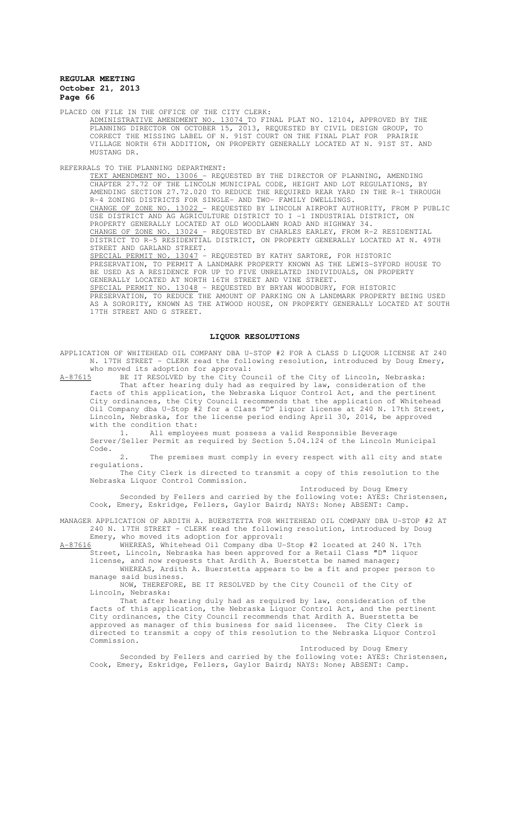PLACED ON FILE IN THE OFFICE OF THE CITY CLERK:

ADMINISTRATIVE AMENDMENT NO. 13074 TO FINAL PLAT NO. 12104, APPROVED BY THE PLANNING DIRECTOR ON OCTOBER 15, 2013, REQUESTED BY CIVIL DESIGN GROUP, TO CORRECT THE MISSING LABEL OF N. 91ST COURT ON THE FINAL PLAT FOR PRAIRIE VILLAGE NORTH 6TH ADDITION, ON PROPERTY GENERALLY LOCATED AT N. 91ST ST. AND MUSTANG DR.

REFERRALS TO THE PLANNING DEPARTMENT:

TEXT AMENDMENT NO. 13006 - REQUESTED BY THE DIRECTOR OF PLANNING, AMENDING CHAPTER 27.72 OF THE LINCOLN MUNICIPAL CODE, HEIGHT AND LOT REGULATIONS, BY AMENDING SECTION 27.72.020 TO REDUCE THE REQUIRED REAR YARD IN THE R-1 THROUGH R-4 ZONING DISTRICTS FOR SINGLE- AND TWO- FAMILY DWELLINGS. CHANGE OF ZONE NO. 13022 - REQUESTED BY LINCOLN AIRPORT AUTHORITY, FROM P PUBLIC USE DISTRICT AND AG AGRICULTURE DISTRICT TO I -1 INDUSTRIAL DISTRICT, ON PROPERTY GENERALLY LOCATED AT OLD WOODLAWN ROAD AND HIGHWAY 34. CHANGE OF ZONE NO. 13024 - REQUESTED BY CHARLES EARLEY, FROM R-2 RESIDENTIAL DISTRICT TO R-5 RESIDENTIAL DISTRICT, ON PROPERTY GENERALLY LOCATED AT N. 49TH STREET AND GARLAND STREET. SPECIAL PERMIT NO. 13047 - REQUESTED BY KATHY SARTORE, FOR HISTORIC PRESERVATION, TO PERMIT A LANDMARK PROPERTY KNOWN AS THE LEWIS-SYFORD HOUSE TO BE USED AS A RESIDENCE FOR UP TO FIVE UNRELATED INDIVIDUALS, ON PROPERTY GENERALLY LOCATED AT NORTH 16TH STREET AND VINE STREET. SPECIAL PERMIT NO. 13048 - REQUESTED BY BRYAN WOODBURY, FOR HISTORIC PRESERVATION, TO REDUCE THE AMOUNT OF PARKING ON A LANDMARK PROPERTY BEING USED AS A SORORITY, KNOWN AS THE ATWOOD HOUSE, ON PROPERTY GENERALLY LOCATED AT SOUTH 17TH STREET AND G STREET.

#### **LIQUOR RESOLUTIONS**

APPLICATION OF WHITEHEAD OIL COMPANY DBA U-STOP #2 FOR A CLASS D LIQUOR LICENSE AT 240 N. 17TH STREET - CLERK read the following resolution, introduced by Doug Emery, who moved its adoption for approval:

A-87615 BE IT RESOLVED by the City Council of the City of Lincoln, Nebraska: That after hearing duly had as required by law, consideration of the facts of this application, the Nebraska Liquor Control Act, and the pertinent City ordinances, the City Council recommends that the application of Whitehead Oil Company dba U-Stop #2 for a Class "D" liquor license at 240 N. 17th Street, Lincoln, Nebraska, for the license period ending April 30, 2014, be approved with the condition that:<br> $1 + 2l$ <br>all employe

1. All employees must possess a valid Responsible Beverage Server/Seller Permit as required by Section 5.04.124 of the Lincoln Municipal Code.

The premises must comply in every respect with all city and state regulations.

The City Clerk is directed to transmit a copy of this resolution to the Nebraska Liquor Control Commission.

Introduced by Doug Emery

Seconded by Fellers and carried by the following vote: AYES: Christensen, Cook, Emery, Eskridge, Fellers, Gaylor Baird; NAYS: None; ABSENT: Camp.

MANAGER APPLICATION OF ARDITH A. BUERSTETTA FOR WHITEHEAD OIL COMPANY DBA U-STOP #2 AT 240 N. 17TH STREET - CLERK read the following resolution, introduced by Doug

Emery, who moved its adoption for approval:<br>A-87616 WHEREAS, Whitehead Oil Company dba U-A-87616 WHEREAS, Whitehead Oil Company dba U-Stop #2 located at 240 N. 17th Street, Lincoln, Nebraska has been approved for a Retail Class "D" liquor

license, and now requests that Ardith A. Buerstetta be named manager; WHEREAS, Ardith A. Buerstetta appears to be a fit and proper person to

manage said business. NOW, THEREFORE, BE IT RESOLVED by the City Council of the City of

Lincoln, Nebraska:

That after hearing duly had as required by law, consideration of the facts of this application, the Nebraska Liquor Control Act, and the pertinent City ordinances, the City Council recommends that Ardith A. Buerstetta be approved as manager of this business for said licensee. The City Clerk is directed to transmit a copy of this resolution to the Nebraska Liquor Control Commission.

Introduced by Doug Emery

Seconded by Fellers and carried by the following vote: AYES: Christensen, Cook, Emery, Eskridge, Fellers, Gaylor Baird; NAYS: None; ABSENT: Camp.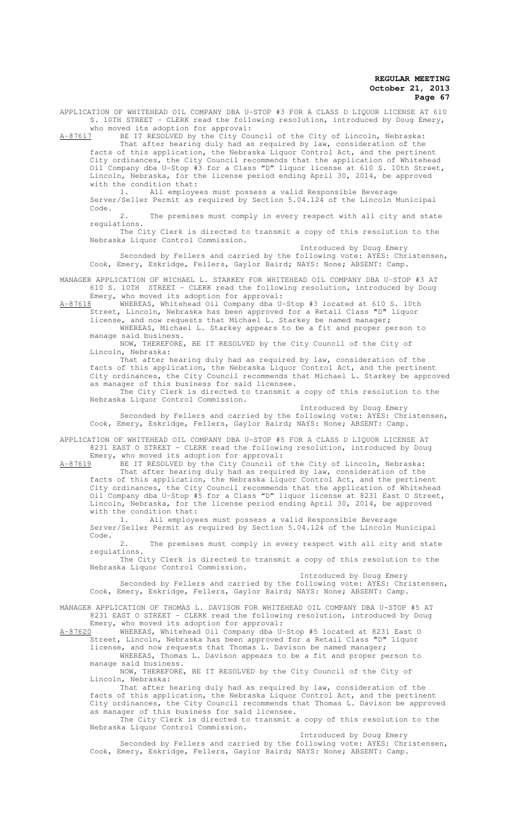APPLICATION OF WHITEHEAD OIL COMPANY DBA U-STOP #3 FOR A CLASS D LIQUOR LICENSE AT 610 S. 10TH STREET - CLERK read the following resolution, introduced by Doug Emery, who moved its adoption for approval:<br>A-87617 BE IT RESOLVED by the City Cou

BE IT RESOLVED by the City Council of the City of Lincoln, Nebraska:

That after hearing duly had as required by law, consideration of the facts of this application, the Nebraska Liquor Control Act, and the pertinent City ordinances, the City Council recommends that the application of Whitehead Oil Company dba U-Stop #3 for a Class "D" liquor license at 610 S. 10th Street, Lincoln, Nebraska, for the license period ending April 30, 2014, be approved with the condition that:

1. All employees must possess a valid Responsible Beverage Server/Seller Permit as required by Section 5.04.124 of the Lincoln Municipal Code.

The premises must comply in every respect with all city and state regulations.

The City Clerk is directed to transmit a copy of this resolution to the Nebraska Liquor Control Commission.

Introduced by Doug Emery Seconded by Fellers and carried by the following vote: AYES: Christensen, Cook, Emery, Eskridge, Fellers, Gaylor Baird; NAYS: None; ABSENT: Camp.

MANAGER APPLICATION OF MICHAEL L. STARKEY FOR WHITEHEAD OIL COMPANY DBA U-STOP #3 AT 610 S. 10TH STREET - CLERK read the following resolution, introduced by Doug Emery, who moved its adoption for approval:

A-87618 WHEREAS, Whitehead Oil Company dba U-Stop #3 located at 610 S. 10th Street, Lincoln, Nebraska has been approved for a Retail Class "D" liquor

license, and now requests that Michael L. Starkey be named manager; WHEREAS, Michael L. Starkey appears to be a fit and proper person to manage said business.

NOW, THEREFORE, BE IT RESOLVED by the City Council of the City of Lincoln, Nebraska:

That after hearing duly had as required by law, consideration of the facts of this application, the Nebraska Liquor Control Act, and the pertinent City ordinances, the City Council recommends that Michael L. Starkey be approved as manager of this business for said licensee. The City Clerk is directed to transmit a copy of this resolution to the

Nebraska Liquor Control Commission.

Introduced by Doug Emery

Seconded by Fellers and carried by the following vote: AYES: Christensen, Cook, Emery, Eskridge, Fellers, Gaylor Baird; NAYS: None; ABSENT: Camp.

APPLICATION OF WHITEHEAD OIL COMPANY DBA U-STOP #5 FOR A CLASS D LIQUOR LICENSE AT 8231 EAST O STREET - CLERK read the following resolution, introduced by Doug Emery, who moved its adoption for approval:

A-87619 BE IT RESOLVED by the City Council of the City of Lincoln, Nebraska: That after hearing duly had as required by law, consideration of the

facts of this application, the Nebraska Liquor Control Act, and the pertinent City ordinances, the City Council recommends that the application of Whitehead Oil Company dba U-Stop #5 for a Class "D" liquor license at 8231 East O Street, Lincoln, Nebraska, for the license period ending April 30, 2014, be approved with the condition that:

1. All employees must possess a valid Responsible Beverage Server/Seller Permit as required by Section 5.04.124 of the Lincoln Municipal Code.

2. The premises must comply in every respect with all city and state regulations.

The City Clerk is directed to transmit a copy of this resolution to the Nebraska Liquor Control Commission.

Introduced by Doug Emery Seconded by Fellers and carried by the following vote: AYES: Christensen, Cook, Emery, Eskridge, Fellers, Gaylor Baird; NAYS: None; ABSENT: Camp.

MANAGER APPLICATION OF THOMAS L. DAVISON FOR WHITEHEAD OIL COMPANY DBA U-STOP #5 AT 8231 EAST O STREET - CLERK read the following resolution, introduced by Doug

Emery, who moved its adoption for approval:<br>A-87620 WHEREAS, Whitehead Oil Company dba U-WHEREAS, Whitehead Oil Company dba U-Stop #5 located at 8231 East O Street, Lincoln, Nebraska has been approved for a Retail Class "D" liquor license, and now requests that Thomas L. Davison be named manager;

WHEREAS, Thomas L. Davison appears to be a fit and proper person to manage said business.

NOW, THEREFORE, BE IT RESOLVED by the City Council of the City of Lincoln, Nebraska:

That after hearing duly had as required by law, consideration of the facts of this application, the Nebraska Liquor Control Act, and the pertinent City ordinances, the City Council recommends that Thomas L. Davison be approved as manager of this business for said licensee.

The City Clerk is directed to transmit a copy of this resolution to the Nebraska Liquor Control Commission.

Introduced by Doug Emery

Seconded by Fellers and carried by the following vote: AYES: Christensen, Cook, Emery, Eskridge, Fellers, Gaylor Baird; NAYS: None; ABSENT: Camp.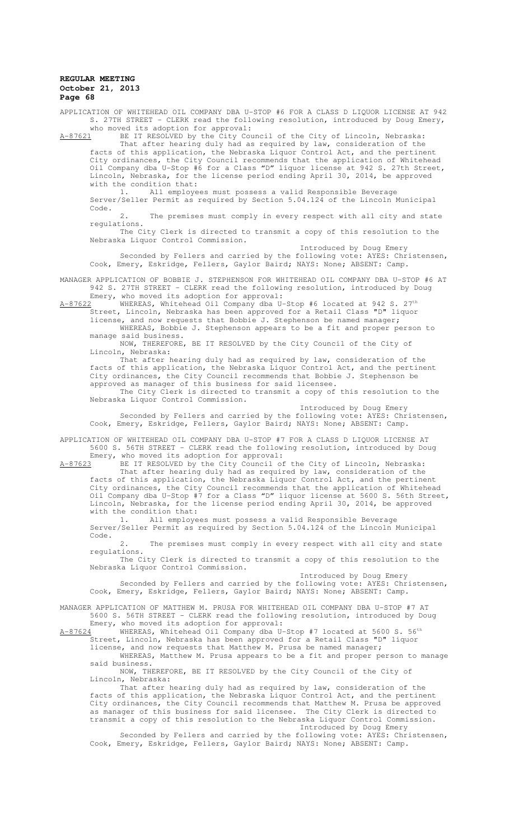APPLICATION OF WHITEHEAD OIL COMPANY DBA U-STOP #6 FOR A CLASS D LIQUOR LICENSE AT 942 S. 27TH STREET - CLERK read the following resolution, introduced by Doug Emery, who moved its adoption for approval:<br>A-87621 BE IT RESOLVED by the City Cou

BE IT RESOLVED by the City Council of the City of Lincoln, Nebraska:

That after hearing duly had as required by law, consideration of the facts of this application, the Nebraska Liquor Control Act, and the pertinent City ordinances, the City Council recommends that the application of Whitehead Oil Company dba U-Stop #6 for a Class "D" liquor license at 942 S. 27th Street, Lincoln, Nebraska, for the license period ending April 30, 2014, be approved with the condition that:

1. All employees must possess a valid Responsible Beverage Server/Seller Permit as required by Section 5.04.124 of the Lincoln Municipal Code.

The premises must comply in every respect with all city and state regulations.

The City Clerk is directed to transmit a copy of this resolution to the Nebraska Liquor Control Commission.

Introduced by Doug Emery Seconded by Fellers and carried by the following vote: AYES: Christensen, Cook, Emery, Eskridge, Fellers, Gaylor Baird; NAYS: None; ABSENT: Camp.

MANAGER APPLICATION OF BOBBIE J. STEPHENSON FOR WHITEHEAD OIL COMPANY DBA U-STOP #6 AT 942 S. 27TH STREET - CLERK read the following resolution, introduced by Doug Emery, who moved its adoption for approval:

 $A-87622$  WHEREAS, Whitehead Oil Company dba U-Stop #6 located at 942 S. 27th Street, Lincoln, Nebraska has been approved for a Retail Class "D" liquor

license, and now requests that Bobbie J. Stephenson be named manager; WHEREAS, Bobbie J. Stephenson appears to be a fit and proper person to

manage said business. NOW, THEREFORE, BE IT RESOLVED by the City Council of the City of Lincoln, Nebraska:

That after hearing duly had as required by law, consideration of the facts of this application, the Nebraska Liquor Control Act, and the pertinent City ordinances, the City Council recommends that Bobbie J. Stephenson be approved as manager of this business for said licensee.

The City Clerk is directed to transmit a copy of this resolution to the Nebraska Liquor Control Commission.

Introduced by Doug Emery

Seconded by Fellers and carried by the following vote: AYES: Christensen, Cook, Emery, Eskridge, Fellers, Gaylor Baird; NAYS: None; ABSENT: Camp.

APPLICATION OF WHITEHEAD OIL COMPANY DBA U-STOP #7 FOR A CLASS D LIQUOR LICENSE AT 5600 S. 56TH STREET - CLERK read the following resolution, introduced by Doug Emery, who moved its adoption for approval:

A-87623 BE IT RESOLVED by the City Council of the City of Lincoln, Nebraska: That after hearing duly had as required by law, consideration of the

facts of this application, the Nebraska Liquor Control Act, and the pertinent City ordinances, the City Council recommends that the application of Whitehead Oil Company dba U-Stop #7 for a Class "D" liquor license at 5600 S. 56th Street, Lincoln, Nebraska, for the license period ending April 30, 2014, be approved with the condition that:

1. All employees must possess a valid Responsible Beverage Server/Seller Permit as required by Section 5.04.124 of the Lincoln Municipal Code.

2. The premises must comply in every respect with all city and state regulations.

The City Clerk is directed to transmit a copy of this resolution to the Nebraska Liquor Control Commission.

Introduced by Doug Emery Seconded by Fellers and carried by the following vote: AYES: Christensen, Cook, Emery, Eskridge, Fellers, Gaylor Baird; NAYS: None; ABSENT: Camp.

MANAGER APPLICATION OF MATTHEW M. PRUSA FOR WHITEHEAD OIL COMPANY DBA U-STOP #7 AT 5600 S. 56TH STREET - CLERK read the following resolution, introduced by Doug Emery, who moved its adoption for approval:<br>A-87624 WHEREAS, Whitehead Oil Company dba U-

WHEREAS, Whitehead Oil Company dba U-Stop #7 located at 5600 S.  $56^{\text{th}}$ Street, Lincoln, Nebraska has been approved for a Retail Class "D" liquor license, and now requests that Matthew M. Prusa be named manager;

WHEREAS, Matthew M. Prusa appears to be a fit and proper person to manage said business.

NOW, THEREFORE, BE IT RESOLVED by the City Council of the City of Lincoln, Nebraska:

That after hearing duly had as required by law, consideration of the facts of this application, the Nebraska Liquor Control Act, and the pertinent City ordinances, the City Council recommends that Matthew M. Prusa be approved as manager of this business for said licensee. The City Clerk is directed to transmit a copy of this resolution to the Nebraska Liquor Control Commission. Introduced by Doug Emery

Seconded by Fellers and carried by the following vote: AYES: Christensen, Cook, Emery, Eskridge, Fellers, Gaylor Baird; NAYS: None; ABSENT: Camp.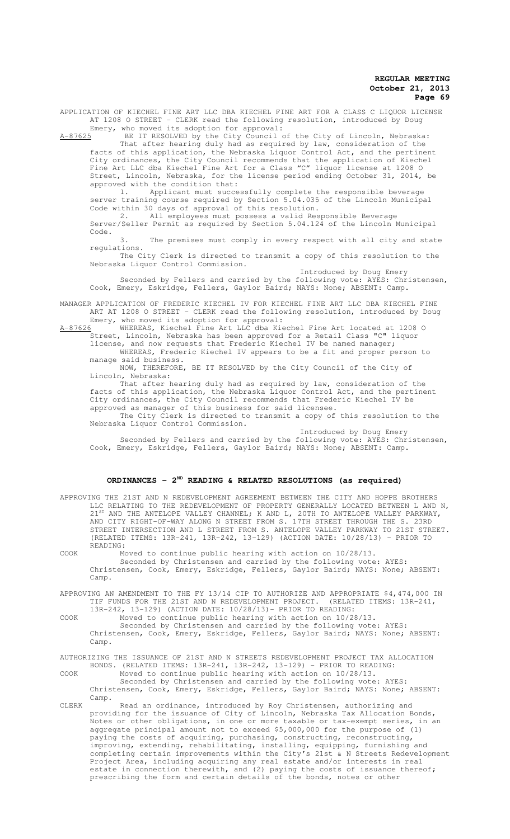APPLICATION OF KIECHEL FINE ART LLC DBA KIECHEL FINE ART FOR A CLASS C LIQUOR LICENSE AT 1208 O STREET - CLERK read the following resolution, introduced by Doug

Emery, who moved its adoption for approval:<br>A-87625 BE IT RESOLVED by the City Council of BE IT RESOLVED by the City Council of the City of Lincoln, Nebraska: That after hearing duly had as required by law, consideration of the facts of this application, the Nebraska Liquor Control Act, and the pertinent City ordinances, the City Council recommends that the application of Kiechel Fine Art LLC dba Kiechel Fine Art for a Class "C" liquor license at 1208 O Street, Lincoln, Nebraska, for the license period ending October 31, 2014, be approved with the condition that:

1. Applicant must successfully complete the responsible beverage server training course required by Section 5.04.035 of the Lincoln Municipal Code within 30 days of approval of this resolution.

2. All employees must possess a valid Responsible Beverage Server/Seller Permit as required by Section 5.04.124 of the Lincoln Municipal Code.

3. The premises must comply in every respect with all city and state regulations.

The City Clerk is directed to transmit a copy of this resolution to the Nebraska Liquor Control Commission.

Introduced by Doug Emery Seconded by Fellers and carried by the following vote: AYES: Christensen, Cook, Emery, Eskridge, Fellers, Gaylor Baird; NAYS: None; ABSENT: Camp.

MANAGER APPLICATION OF FREDERIC KIECHEL IV FOR KIECHEL FINE ART LLC DBA KIECHEL FINE ART AT 1208 O STREET - CLERK read the following resolution, introduced by Doug Emery, who moved its adoption for approval:

A-87626 WHEREAS, Kiechel Fine Art LLC dba Kiechel Fine Art located at 1208 O Street, Lincoln, Nebraska has been approved for a Retail Class "C" liquor license, and now requests that Frederic Kiechel IV be named manager;

WHEREAS, Frederic Kiechel IV appears to be a fit and proper person to manage said business.

NOW, THEREFORE, BE IT RESOLVED by the City Council of the City of Lincoln, Nebraska:

That after hearing duly had as required by law, consideration of the facts of this application, the Nebraska Liquor Control Act, and the pertinent City ordinances, the City Council recommends that Frederic Kiechel IV be approved as manager of this business for said licensee.

The City Clerk is directed to transmit a copy of this resolution to the Nebraska Liquor Control Commission.

Introduced by Doug Emery Seconded by Fellers and carried by the following vote: AYES: Christensen, Cook, Emery, Eskridge, Fellers, Gaylor Baird; NAYS: None; ABSENT: Camp.

## **ORDINANCES - 2ND READING & RELATED RESOLUTIONS (as required)**

APPROVING THE 21ST AND N REDEVELOPMENT AGREEMENT BETWEEN THE CITY AND HOPPE BROTHERS LLC RELATING TO THE REDEVELOPMENT OF PROPERTY GENERALLY LOCATED BETWEEN L AND N, 21ST AND THE ANTELOPE VALLEY CHANNEL; K AND L, 20TH TO ANTELOPE VALLEY PARKWAY, AND CITY RIGHT-OF-WAY ALONG N STREET FROM S. 17TH STREET THROUGH THE S. 23RD STREET INTERSECTION AND L STREET FROM S. ANTELOPE VALLEY PARKWAY TO 21ST STREET. (RELATED ITEMS: 13R-241, 13R-242, 13-129) (ACTION DATE: 10/28/13) - PRIOR TO READING:

COOK Moved to continue public hearing with action on 10/28/13. Seconded by Christensen and carried by the following vote: AYES: Christensen, Cook, Emery, Eskridge, Fellers, Gaylor Baird; NAYS: None; ABSENT: Camp.

APPROVING AN AMENDMENT TO THE FY 13/14 CIP TO AUTHORIZE AND APPROPRIATE \$4,474,000 IN<br>TIF FUNDS FOR THE 21ST AND N REDEVELOPMENT PROJECT. (RELATED ITEMS: 13R-241. TIF FUNDS FOR THE 21ST AND N REDEVELOPMENT PROJECT. 13R-242, 13-129) (ACTION DATE: 10/28/13)- PRIOR TO READING:

COOK Moved to continue public hearing with action on 10/28/13.

Seconded by Christensen and carried by the following vote: AYES: Christensen, Cook, Emery, Eskridge, Fellers, Gaylor Baird; NAYS: None; ABSENT: Camp.

AUTHORIZING THE ISSUANCE OF 21ST AND N STREETS REDEVELOPMENT PROJECT TAX ALLOCATION BONDS. (RELATED ITEMS: 13R-241, 13R-242, 13-129) - PRIOR TO READING:

COOK Moved to continue public hearing with action on 10/28/13. Seconded by Christensen and carried by the following vote: AYES: Christensen, Cook, Emery, Eskridge, Fellers, Gaylor Baird; NAYS: None; ABSENT: Camp.

CLERK Read an ordinance, introduced by Roy Christensen, authorizing and providing for the issuance of City of Lincoln, Nebraska Tax Allocation Bonds, Notes or other obligations, in one or more taxable or tax-exempt series, in an aggregate principal amount not to exceed \$5,000,000 for the purpose of (1) paying the costs of acquiring, purchasing, constructing, reconstructing, improving, extending, rehabilitating, installing, equipping, furnishing and completing certain improvements within the City's 21st & N Streets Redevelopment Project Area, including acquiring any real estate and/or interests in real estate in connection therewith, and (2) paying the costs of issuance thereof; prescribing the form and certain details of the bonds, notes or other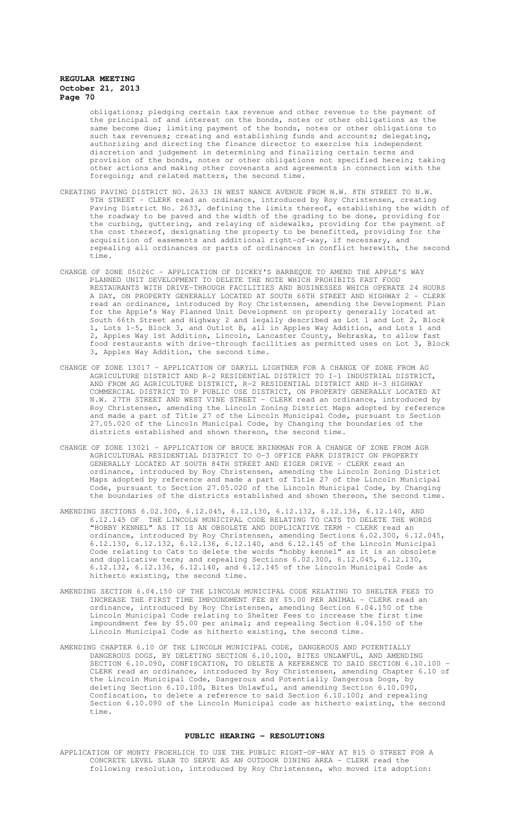obligations; pledging certain tax revenue and other revenue to the payment of the principal of and interest on the bonds, notes or other obligations as the same become due; limiting payment of the bonds, notes or other obligations to such tax revenues; creating and establishing funds and accounts; delegating, authorizing and directing the finance director to exercise his independent discretion and judgement in determining and finalizing certain terms and provision of the bonds, notes or other obligations not specified herein; taking other actions and making other covenants and agreements in connection with the foregoing; and related matters, the second time.

- CREATING PAVING DISTRICT NO. 2633 IN WEST NANCE AVENUE FROM N.W. 8TH STREET TO N.W. 9TH STREET - CLERK read an ordinance, introduced by Roy Christensen, creating Paving District No. 2633, defining the limits thereof, establishing the width of the roadway to be paved and the width of the grading to be done, providing for the curbing, guttering, and relaying of sidewalks, providing for the payment of the cost thereof, designating the property to be benefitted, providing for the acquisition of easements and additional right-of-way, if necessary, and repealing all ordinances or parts of ordinances in conflict herewith, the second time.
- CHANGE OF ZONE 05026C APPLICATION OF DICKEY'S BARBEQUE TO AMEND THE APPLE'S WAY PLANNED UNIT DEVELOPMENT TO DELETE THE NOTE WHICH PROHIBITS FAST FOOD RESTAURANTS WITH DRIVE-THROUGH FACILITIES AND BUSINESSES WHICH OPERATE 24 HOURS A DAY, ON PROPERTY GENERALLY LOCATED AT SOUTH 66TH STREET AND HIGHWAY 2 - CLERK read an ordinance, introduced by Roy Christensen, amending the Development Plan for the Apple's Way Planned Unit Development on property generally located at South 66th Street and Highway 2 and legally described as Lot 1 and Lot 2, Block 1, Lots 1-5, Block 3, and Outlot B, all in Apples Way Addition, and Lots 1 and 2, Apples Way 1st Addition, Lincoln, Lancaster County, Nebraska, to allow fast food restaurants with drive-through facilities as permitted uses on Lot 3, Block 3, Apples Way Addition, the second time.
- CHANGE OF ZONE 13017 APPLICATION OF DARYLL LIGHTNER FOR A CHANGE OF ZONE FROM AG AGRICULTURE DISTRICT AND R-2 RESIDENTIAL DISTRICT TO I-1 INDUSTRIAL DISTRICT, AND FROM AG AGRICULTURE DISTRICT, R-2 RESIDENTIAL DISTRICT AND H-3 HIGHWAY COMMERCIAL DISTRICT TO P PUBLIC USE DISTRICT, ON PROPERTY GENERALLY LOCATED AT N.W. 27TH STREET AND WEST VINE STREET - CLERK read an ordinance, introduced by Roy Christensen, amending the Lincoln Zoning District Maps adopted by reference and made a part of Title 27 of the Lincoln Municipal Code, pursuant to Section 27.05.020 of the Lincoln Municipal Code, by Changing the boundaries of the districts established and shown thereon, the second time.
- CHANGE OF ZONE 13021 APPLICATION OF BRUCE BRINKMAN FOR A CHANGE OF ZONE FROM AGR AGRICULTURAL RESIDENTIAL DISTRICT TO O-3 OFFICE PARK DISTRICT ON PROPERTY GENERALLY LOCATED AT SOUTH 84TH STREET AND EIGER DRIVE - CLERK read an ordinance, introduced by Roy Christensen, amending the Lincoln Zoning District Maps adopted by reference and made a part of Title 27 of the Lincoln Municipal Code, pursuant to Section 27.05.020 of the Lincoln Municipal Code, by Changing the boundaries of the districts established and shown thereon, the second time.
- AMENDING SECTIONS 6.02.300, 6.12.045, 6.12.130, 6.12.132, 6.12.136, 6.12.140, AND 6.12.145 OF THE LINCOLN MUNICIPAL CODE RELATING TO CATS TO DELETE THE WORDS "HOBBY KENNEL" AS IT IS AN OBSOLETE AND DUPLICATIVE TERM - CLERK read an ordinance, introduced by Roy Christensen, amending Sections 6.02.300, 6.12.045, 6.12.130, 6.12.132, 6.12.136, 6.12.140, and 6.12.145 of the Lincoln Municipal Code relating to Cats to delete the words "hobby kennel" as it is an obsolete and duplicative term; and repealing Sections 6.02.300, 6.12.045, 6.12.130,  $6.12.132$ ,  $6.12.136$ ,  $6.12.140$ , and  $6.12.145$  of the Lincoln Municipal Code as hitherto existing, the second time.
- AMENDING SECTION 6.04.150 OF THE LINCOLN MUNICIPAL CODE RELATING TO SHELTER FEES TO INCREASE THE FIRST TIME IMPOUNDMENT FEE BY \$5.00 PER ANIMAL - CLERK read an ordinance, introduced by Roy Christensen, amending Section 6.04.150 of the Lincoln Municipal Code relating to Shelter Fees to increase the first time impoundment fee by \$5.00 per animal; and repealing Section 6.04.150 of the Lincoln Municipal Code as hitherto existing, the second time.
- AMENDING CHAPTER 6.10 OF THE LINCOLN MUNICIPAL CODE, DANGEROUS AND POTENTIALLY DANGEROUS DOGS, BY DELETING SECTION 6.10.100, BITES UNLAWFUL, AND AMENDING SECTION 6.10.090, CONFISCATION, TO DELETE A REFERENCE TO SAID SECTION 6.10.100 -CLERK read an ordinance, introduced by Roy Christensen, amending Chapter 6.10 of the Lincoln Municipal Code, Dangerous and Potentially Dangerous Dogs, by deleting Section 6.10.100, Bites Unlawful, and amending Section 6.10.090, Confiscation, to delete a reference to said Section 6.10.100; and repealing Section 6.10.090 of the Lincoln Municipal code as hitherto existing, the second time.

#### **PUBLIC HEARING - RESOLUTIONS**

APPLICATION OF MONTY FROEHLICH TO USE THE PUBLIC RIGHT-OF-WAY AT 815 O STREET FOR A CONCRETE LEVEL SLAB TO SERVE AS AN OUTDOOR DINING AREA - CLERK read the following resolution, introduced by Roy Christensen, who moved its adoption: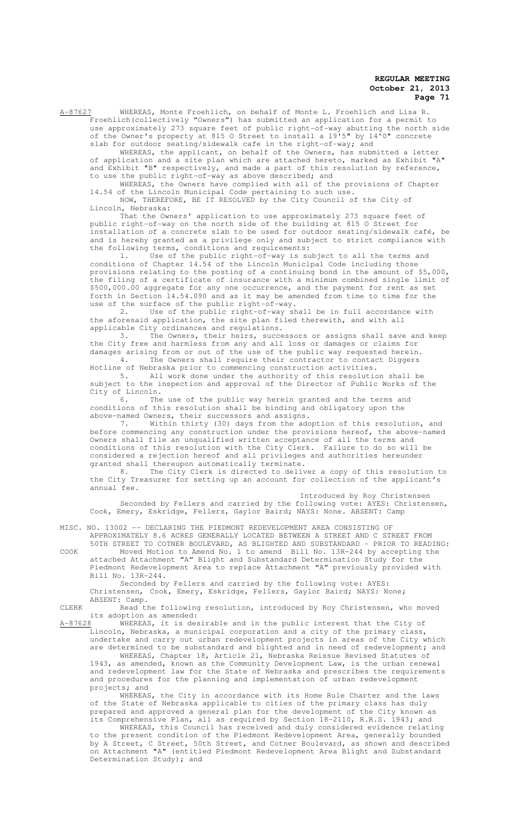A-87627 WHEREAS, Monte Froehlich, on behalf of Monte L. Froehlich and Lisa R. Froehlich(collectively "Owners") has submitted an application for a permit to use approximately 273 square feet of public right-of-way abutting the north side of the Owner's property at 815 O Street to install a 19'5" by 14'0" concrete slab for outdoor seating/sidewalk cafe in the right-of-way; and

WHEREAS, the applicant, on behalf of the Owners, has submitted a letter of application and a site plan which are attached hereto, marked as Exhibit "A" and Exhibit "B" respectively, and made a part of this resolution by reference, to use the public right-of-way as above described; and

WHEREAS, the Owners have complied with all of the provisions of Chapter 14.54 of the Lincoln Municipal Code pertaining to such use.

NOW, THEREFORE, BE IT RESOLVED by the City Council of the City of Lincoln, Nebraska:

That the Owners' application to use approximately 273 square feet of public right-of-way on the north side of the building at 815 O Street for .<br>installation of a concrete slab to be used for outdoor seating/sidewalk café, be and is hereby granted as a privilege only and subject to strict compliance with the following terms, conditions and requirements:

1. Use of the public right-of-way is subject to all the terms and conditions of Chapter 14.54 of the Lincoln Municipal Code including those provisions relating to the posting of a continuing bond in the amount of \$5,000, the filing of a certificate of insurance with a minimum combined single limit of \$500,000.00 aggregate for any one occurrence, and the payment for rent as set forth in Section 14.54.090 and as it may be amended from time to time for the use of the surface of the public right-of-way.

2. Use of the public right-of-way shall be in full accordance with the aforesaid application, the site plan filed therewith, and with all applicable City ordinances and regulations.<br>3. The Owners, their heirs, succe

The Owners, their heirs, successors or assigns shall save and keep the City free and harmless from any and all loss or damages or claims for damages arising from or out of the use of the public way requested herein. 4. The Owners shall require their contractor to contact Diggers

Hotline of Nebraska prior to commencing construction activities. 5. All work done under the authority of this resolution shall be

subject to the inspection and approval of the Director of Public Works of the City of Lincoln.<br> $6.$  The

The use of the public way herein granted and the terms and conditions of this resolution shall be binding and obligatory upon the above-named Owners, their successors and assigns.

7. Within thirty (30) days from the adoption of this resolution, and before commencing any construction under the provisions hereof, the above-named Owners shall file an unqualified written acceptance of all the terms and conditions of this resolution with the City Clerk. Failure to do so will be considered a rejection hereof and all privileges and authorities hereunder

granted shall thereupon automatically terminate.<br>8. The City Clerk is directed to deliver a copy of this resolution to 8. The City Clerk is directed to deliver a copy of this resolution to the City Treasurer for setting up an account for collection of the applicant's annual fee.

Introduced by Roy Christensen

Seconded by Fellers and carried by the following vote: AYES: Christensen, Cook, Emery, Eskridge, Fellers, Gaylor Baird; NAYS: None. ABSENT: Camp

MISC. NO. 13002 -- DECLARING THE PIEDMONT REDEVELOPMENT AREA CONSISTING OF

APPROXIMATELY 8.6 ACRES GENERALLY LOCATED BETWEEN A STREET AND C STREET FROM 50TH STREET TO COTNER BOULEVARD, AS BLIGHTED AND SUBSTANDARD - PRIOR TO READING: COOK Moved Motion to Amend No. 1 to amend Bill No. 13R-244 by accepting the attached Attachment "A" Blight and Substandard Determination Study for the

Piedmont Redevelopment Area to replace Attachment "A" previously provided with Bill No. 13R-244.

Seconded by Fellers and carried by the following vote: AYES: Christensen, Cook, Emery, Eskridge, Fellers, Gaylor Baird; NAYS: None; ABSENT: Camp.

CLERK Read the following resolution, introduced by Roy Christensen, who moved its adoption as amended:<br><u>A-87628</u> MHEREAS, it is des

WHEREAS, it is desirable and in the public interest that the City of Lincoln, Nebraska, a municipal corporation and a city of the primary class, undertake and carry out urban redevelopment projects in areas of the City which

are determined to be substandard and blighted and in need of redevelopment; and WHEREAS, Chapter 18, Article 21, Nebraska Reissue Revised Statutes of 1943, as amended, known as the Community Development Law, is the urban renewal and redevelopment law for the State of Nebraska and prescribes the requirements and procedures for the planning and implementation of urban redevelopment projects; and

WHEREAS, the City in accordance with its Home Rule Charter and the laws of the State of Nebraska applicable to cities of the primary class has duly prepared and approved a general plan for the development of the City known as its Comprehensive Plan, all as required by Section 18-2110, R.R.S. 1943; and

WHEREAS, this Council has received and duly considered evidence relating to the present condition of the Piedmont Redevelopment Area, generally bounded by A Street, C Street, 50th Street, and Cotner Boulevard, as shown and described on Attachment "A" (entitled Piedmont Redevelopment Area Blight and Substandard Determination Study); and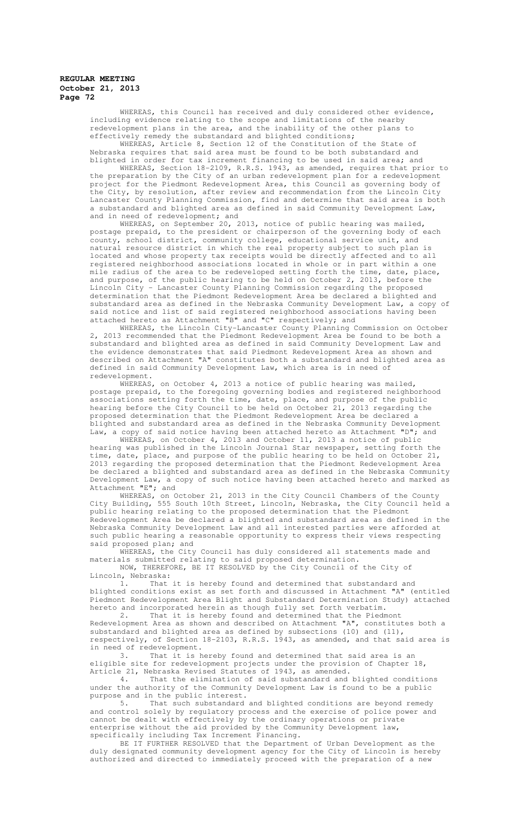WHEREAS, this Council has received and duly considered other evidence, including evidence relating to the scope and limitations of the nearby redevelopment plans in the area, and the inability of the other plans effectively remedy the substandard and blighted conditions;

WHEREAS, Article 8, Section 12 of the Constitution of the State of Nebraska requires that said area must be found to be both substandard and blighted in order for tax increment financing to be used in said area; and

WHEREAS, Section 18-2109, R.R.S. 1943, as amended, requires that prior to the preparation by the City of an urban redevelopment plan for a redevelopment project for the Piedmont Redevelopment Area, this Council as governing body of the City, by resolution, after review and recommendation from the Lincoln City Lancaster County Planning Commission, find and determine that said area is both a substandard and blighted area as defined in said Community Development Law, and in need of redevelopment; and

WHEREAS, on September 20, 2013, notice of public hearing was mailed, postage prepaid, to the president or chairperson of the governing body of each county, school district, community college, educational service unit, and natural resource district in which the real property subject to such plan is located and whose property tax receipts would be directly affected and to all registered neighborhood associations located in whole or in part within a one mile radius of the area to be redeveloped setting forth the time, date, place, and purpose, of the public hearing to be held on October 2, 2013, before the Lincoln City - Lancaster County Planning Commission regarding the proposed determination that the Piedmont Redevelopment Area be declared a blighted and substandard area as defined in the Nebraska Community Development Law, a copy of said notice and list of said registered neighborhood associations having been attached hereto as Attachment "B" and "C" respectively; and

WHEREAS, the Lincoln City-Lancaster County Planning Commission on October 2, 2013 recommended that the Piedmont Redevelopment Area be found to be both a substandard and blighted area as defined in said Community Development Law and the evidence demonstrates that said Piedmont Redevelopment Area as shown and described on Attachment "A" constitutes both a substandard and blighted area as defined in said Community Development Law, which area is in need of redevelopment.

WHEREAS, on October 4, 2013 a notice of public hearing was mailed, postage prepaid, to the foregoing governing bodies and registered neighborhood associations setting forth the time, date, place, and purpose of the public hearing before the City Council to be held on October 21, 2013 regarding the proposed determination that the Piedmont Redevelopment Area be declared a blighted and substandard area as defined in the Nebraska Community Development Law, a copy of said notice having been attached hereto as Attachment "D"; and

WHEREAS, on October 4, 2013 and October 11, 2013 a notice of public hearing was published in the Lincoln Journal Star newspaper, setting forth the time, date, place, and purpose of the public hearing to be held on October 21, 2013 regarding the proposed determination that the Piedmont Redevelopment Area be declared a blighted and substandard area as defined in the Nebraska Community Development Law, a copy of such notice having been attached hereto and marked as Attachment "E"; and

WHEREAS, on October 21, 2013 in the City Council Chambers of the County City Building, 555 South 10th Street, Lincoln, Nebraska, the City Council held a public hearing relating to the proposed determination that the Piedmont Redevelopment Area be declared a blighted and substandard area as defined in the Nebraska Community Development Law and all interested parties were afforded at such public hearing a reasonable opportunity to express their views respecting said proposed plan; and

WHEREAS, the City Council has duly considered all statements made and materials submitted relating to said proposed determination.

NOW, THEREFORE, BE IT RESOLVED by the City Council of the City of Lincoln, Nebraska:

1. That it is hereby found and determined that substandard and blighted conditions exist as set forth and discussed in Attachment "A" (entitled Piedmont Redevelopment Area Blight and Substandard Determination Study) attached hereto and incorporated herein as though fully set forth verbatim.<br>2. That it is hereby found and determined that the Piedm

That it is hereby found and determined that the Piedmont Redevelopment Area as shown and described on Attachment "A", constitutes both a substandard and blighted area as defined by subsections (10) and  $(11)$ , respectively, of Section 18-2103, R.R.S. 1943, as amended, and that said area is in need of redevelopment.

3. That it is hereby found and determined that said area is an eligible site for redevelopment projects under the provision of Chapter 18, Article 21, Nebraska Revised Statutes of 1943, as amended.

4. That the elimination of said substandard and blighted conditions under the authority of the Community Development Law is found to be a public purpose and in the public interest.

5. That such substandard and blighted conditions are beyond remedy and control solely by regulatory process and the exercise of police power and cannot be dealt with effectively by the ordinary operations or private enterprise without the aid provided by the Community Development law, specifically including Tax Increment Financing.

BE IT FURTHER RESOLVED that the Department of Urban Development as the duly designated community development agency for the City of Lincoln is hereby authorized and directed to immediately proceed with the preparation of a new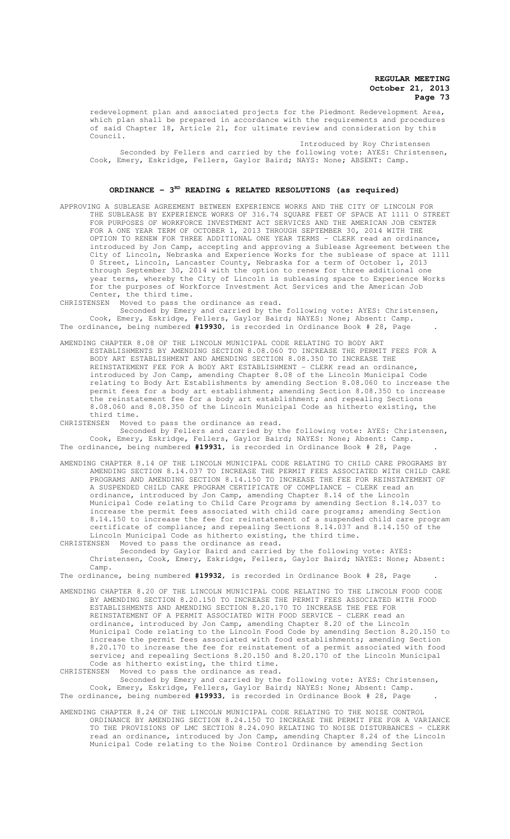redevelopment plan and associated projects for the Piedmont Redevelopment Area, which plan shall be prepared in accordance with the requirements and procedures of said Chapter 18, Article 21, for ultimate review and consideration by this Council.

Introduced by Roy Christensen Seconded by Fellers and carried by the following vote: AYES: Christensen, Cook, Emery, Eskridge, Fellers, Gaylor Baird; NAYS: None; ABSENT: Camp.

#### ORDINANCE - 3<sup>RD</sup> READING & RELATED RESOLUTIONS (as required)

APPROVING A SUBLEASE AGREEMENT BETWEEN EXPERIENCE WORKS AND THE CITY OF LINCOLN FOR THE SUBLEASE BY EXPERIENCE WORKS OF 316.74 SQUARE FEET OF SPACE AT 1111 O STREET FOR PURPOSES OF WORKFORCE INVESTMENT ACT SERVICES AND THE AMERICAN JOB CENTER FOR A ONE YEAR TERM OF OCTOBER 1, 2013 THROUGH SEPTEMBER 30, 2014 WITH THE OPTION TO RENEW FOR THREE ADDITIONAL ONE YEAR TERMS - CLERK read an ordinance, introduced by Jon Camp, accepting and approving a Sublease Agreement between the City of Lincoln, Nebraska and Experience Works for the sublease of space at 1111 0 Street, Lincoln, Lancaster County, Nebraska for a term of October 1, 2013 through September 30, 2014 with the option to renew for three additional one year terms, whereby the City of Lincoln is subleasing space to Experience Works for the purposes of Workforce Investment Act Services and the American Job Center, the third time.

CHRISTENSEN Moved to pass the ordinance as read.

Seconded by Emery and carried by the following vote: AYES: Christensen, Cook, Emery, Eskridge, Fellers, Gaylor Baird; NAYES: None; Absent: Camp. The ordinance, being numbered **#19930**, is recorded in Ordinance Book # 28, Page .

AMENDING CHAPTER 8.08 OF THE LINCOLN MUNICIPAL CODE RELATING TO BODY ART ESTABLISHMENTS BY AMENDING SECTION 8.08.060 TO INCREASE THE PERMIT FEES FOR A BODY ART ESTABLISHMENT AND AMENDING SECTION 8.08.350 TO INCREASE THE REINSTATEMENT FEE FOR A BODY ART ESTABLISHMENT - CLERK read an ordinance, introduced by Jon Camp, amending Chapter 8.08 of the Lincoln Municipal Code relating to Body Art Establishments by amending Section 8.08.060 to increase the permit fees for a body art establishment; amending Section 8.08.350 to increase the reinstatement fee for a body art establishment; and repealing Sections 8.08.060 and 8.08.350 of the Lincoln Municipal Code as hitherto existing, the third time.

CHRISTENSEN Moved to pass the ordinance as read.

Seconded by Fellers and carried by the following vote: AYES: Christensen, Cook, Emery, Eskridge, Fellers, Gaylor Baird; NAYES: None; Absent: Camp. The ordinance, being numbered **#19931**, is recorded in Ordinance Book # 28, Page .

- AMENDING CHAPTER 8.14 OF THE LINCOLN MUNICIPAL CODE RELATING TO CHILD CARE PROGRAMS BY AMENDING SECTION 8.14.037 TO INCREASE THE PERMIT FEES ASSOCIATED WITH CHILD CARE PROGRAMS AND AMENDING SECTION 8.14.150 TO INCREASE THE FEE FOR REINSTATEMENT OF A SUSPENDED CHILD CARE PROGRAM CERTIFICATE OF COMPLIANCE - CLERK read an ordinance, introduced by Jon Camp, amending Chapter 8.14 of the Lincoln Municipal Code relating to Child Care Programs by amending Section 8.14.037 to increase the permit fees associated with child care programs; amending Section 8.14.150 to increase the fee for reinstatement of a suspended child care program certificate of compliance; and repealing Sections 8.14.037 and 8.14.150 of the Lincoln Municipal Code as hitherto existing, the third time.
- CHRISTENSEN Moved to pass the ordinance as read. Seconded by Gaylor Baird and carried by the following vote: AYES: Christensen, Cook, Emery, Eskridge, Fellers, Gaylor Baird; NAYES: None; Absent:
	- Camp.

The ordinance, being numbered **#19932**, is recorded in Ordinance Book # 28, Page .

AMENDING CHAPTER 8.20 OF THE LINCOLN MUNICIPAL CODE RELATING TO THE LINCOLN FOOD CODE BY AMENDING SECTION 8.20.150 TO INCREASE THE PERMIT FEES ASSOCIATED WITH FOOD ESTABLISHMENTS AND AMENDING SECTION 8.20.170 TO INCREASE THE FEE FOR REINSTATEMENT OF A PERMIT ASSOCIATED WITH FOOD SERVICE - CLERK read an ordinance, introduced by Jon Camp, amending Chapter 8.20 of the Lincoln<br>Municipal Code relating to the Lincoln Food Code by amending Section 8. Code relating to the Lincoln Food Code by amending Section 8.20.150 to increase the permit fees associated with food establishments; amending Section 8.20.170 to increase the fee for reinstatement of a permit associated with food service; and repealing Sections 8.20.150 and 8.20.170 of the Lincoln Municipal Code as hitherto existing, the third time. CHRISTENSEN Moved to pass the ordinance as read.

Seconded by Emery and carried by the following vote: AYES: Christensen, Cook, Emery, Eskridge, Fellers, Gaylor Baird; NAYES: None; Absent: Camp. The ordinance, being numbered **#19933**, is recorded in Ordinance Book # 28, Page .

AMENDING CHAPTER 8.24 OF THE LINCOLN MUNICIPAL CODE RELATING TO THE NOISE CONTROL ORDINANCE BY AMENDING SECTION 8.24.150 TO INCREASE THE PERMIT FEE FOR A VARIANCE TO THE PROVISIONS OF LMC SECTION 8.24.090 RELATING TO NOISE DISTURBANCES - CLERK read an ordinance, introduced by Jon Camp, amending Chapter 8.24 of the Lincoln Municipal Code relating to the Noise Control Ordinance by amending Section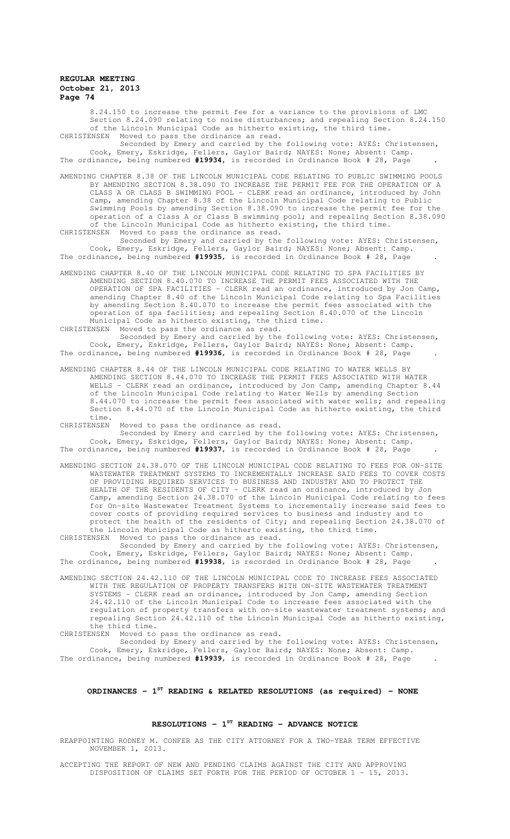8.24.150 to increase the permit fee for a variance to the provisions of LMC Section 8.24.090 relating to noise disturbances; and repealing Section 8.24.150 of the Lincoln Municipal Code as hitherto existing, the third time. CHRISTENSEN Moved to pass the ordinance as read.

Seconded by Emery and carried by the following vote: AYES: Christensen, Cook, Emery, Eskridge, Fellers, Gaylor Baird; NAYES: None; Absent: Camp. The ordinance, being numbered **#19934**, is recorded in Ordinance Book # 28, Page .

AMENDING CHAPTER 8.38 OF THE LINCOLN MUNICIPAL CODE RELATING TO PUBLIC SWIMMING POOLS BY AMENDING SECTION 8.38.090 TO INCREASE THE PERMIT FEE FOR THE OPERATION OF A CLASS A OR CLASS B SWIMMING POOL - CLERK read an ordinance, introduced by John Camp, amending Chapter 8.38 of the Lincoln Municipal Code relating to Public Swimming Pools by amending Section 8.38.090 to increase the permit fee for the operation of a Class A or Class B swimming pool; and repealing Section 8.38.090 of the Lincoln Municipal Code as hitherto existing, the third time. CHRISTENSEN Moved to pass the ordinance as read.

Seconded by Emery and carried by the following vote: AYES: Christensen, Cook, Emery, Eskridge, Fellers, Gaylor Baird; NAYES: None; Absent: Camp. The ordinance, being numbered **#19935**, is recorded in Ordinance Book # 28, Page .

AMENDING CHAPTER 8.40 OF THE LINCOLN MUNICIPAL CODE RELATING TO SPA FACILITIES BY AMENDING SECTION 8.40.070 TO INCREASE THE PERMIT FEES ASSOCIATED WITH THE OPERATION OF SPA FACILITIES - CLERK read an ordinance, introduced by Jon Camp, amending Chapter 8.40 of the Lincoln Municipal Code relating to Spa Facilities by amending Section 8.40.070 to increase the permit fees associated with the operation of spa facilities; and repealing Section 8.40.070 of the Lincoln Municipal Code as hitherto existing, the third time.

CHRISTENSEN Moved to pass the ordinance as read.

Seconded by Emery and carried by the following vote: AYES: Christensen, Cook, Emery, Eskridge, Fellers, Gaylor Baird; NAYES: None; Absent: Camp. The ordinance, being numbered **#19936**, is recorded in Ordinance Book # 28, Page .

AMENDING CHAPTER 8.44 OF THE LINCOLN MUNICIPAL CODE RELATING TO WATER WELLS BY AMENDING SECTION 8.44.070 TO INCREASE THE PERMIT FEES ASSOCIATED WITH WATER WELLS - CLERK read an ordinance, introduced by Jon Camp, amending Chapter 8.44 of the Lincoln Municipal Code relating to Water Wells by amending Section 8.44.070 to increase the permit fees associated with water wells; and repealing Section 8.44.070 of the Lincoln Municipal Code as hitherto existing, the third time.<br>CHRISTENSEN

Moved to pass the ordinance as read.

Seconded by Emery and carried by the following vote: AYES: Christensen, Cook, Emery, Eskridge, Fellers, Gaylor Baird; NAYES: None; Absent: Camp. The ordinance, being numbered **#19937**, is recorded in Ordinance Book # 28, Page .

AMENDING SECTION 24.38.070 OF THE LINCOLN MUNICIPAL CODE RELATING TO FEES FOR ON-SITE WASTEWATER TREATMENT SYSTEMS TO INCREMENTALLY INCREASE SAID FEES TO COVER COSTS OF PROVIDING REQUIRED SERVICES TO BUSINESS AND INDUSTRY AND TO PROTECT THE HEALTH OF THE RESIDENTS OF CITY - CLERK read an ordinance, introduced by Jon Camp, amending Section 24.38.070 of the Lincoln Municipal Code relating to fees for On-site Wastewater Treatment Systems to incrementally increase said fees to cover costs of providing required services to business and industry and to protect the health of the residents of City; and repealing Section 24.38.070 of the Lincoln Municipal Code as hitherto existing, the third time.

CHRISTENSEN Moved to pass the ordinance as read.

Seconded by Emery and carried by the following vote: AYES: Christensen, Cook, Emery, Eskridge, Fellers, Gaylor Baird; NAYES: None; Absent: Camp. The ordinance, being numbered **#19938**, is recorded in Ordinance Book # 28, Page .

AMENDING SECTION 24.42.110 OF THE LINCOLN MUNICIPAL CODE TO INCREASE FEES ASSOCIATED WITH THE REGULATION OF PROPERTY TRANSFERS WITH ON-SITE WASTEWATER TREATMENT SYSTEMS - CLERK read an ordinance, introduced by Jon Camp, amending Section 24.42.110 of the Lincoln Municipal Code to increase fees associated with the regulation of property transfers with on-site wastewater treatment systems; and repealing Section 24.42.110 of the Lincoln Municipal Code as hitherto existing, the third time.

CHRISTENSEN Moved to pass the ordinance as read.

Seconded by Emery and carried by the following vote: AYES: Christensen, Cook, Emery, Eskridge, Fellers, Gaylor Baird; NAYES: None; Absent: Camp. The ordinance, being numbered **#19939**, is recorded in Ordinance Book # 28, Page .

# **ORDINANCES - 1ST READING & RELATED RESOLUTIONS (as required) - NONE**

### **RESOLUTIONS - 1ST READING - ADVANCE NOTICE**

REAPPOINTING RODNEY M. CONFER AS THE CITY ATTORNEY FOR A TWO-YEAR TERM EFFECTIVE NOVEMBER 1, 2013.

ACCEPTING THE REPORT OF NEW AND PENDING CLAIMS AGAINST THE CITY AND APPROVING DISPOSITION OF CLAIMS SET FORTH FOR THE PERIOD OF OCTOBER 1 - 15, 2013.